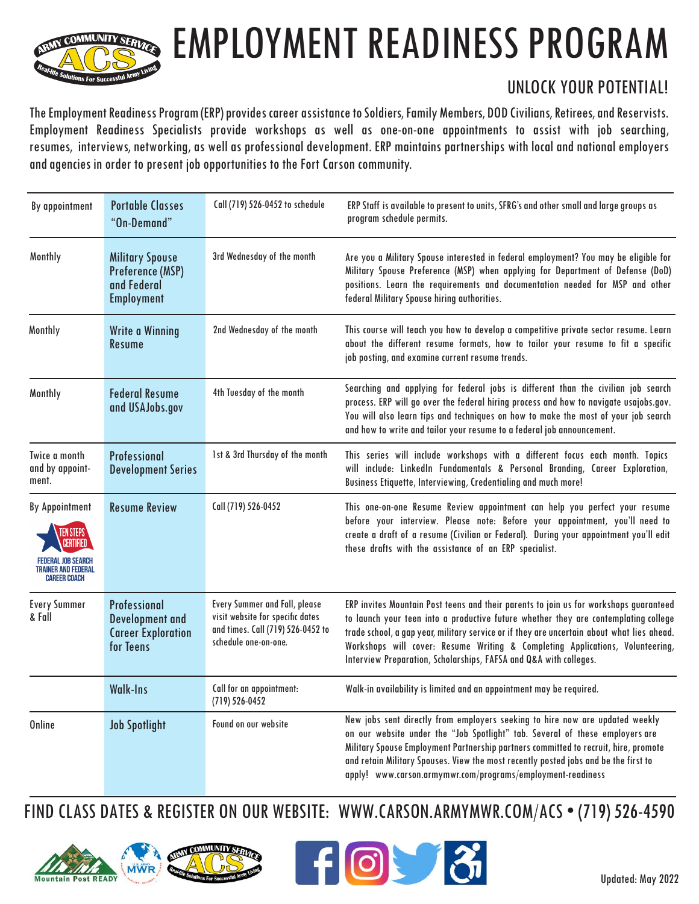

## EMPLOYMENT READINESS PROGRAM

## UNLOCK YOUR POTENTIAL!

The Employment Readiness Program (ERP) provides career assistance to Soldiers, Family Members, DOD Civilians, Retirees, and Reservists. Employment Readiness Specialists provide workshops as well as one-on-one appointments to assist with job searching, resumes, interviews, networking, as well as professional development. ERP maintains partnerships with local and national employers and agencies in order to present job opportunities to the Fort Carson community.

| By appointment                                                      | <b>Portable Classes</b><br>"On-Demand"                                                  | Call (719) 526-0452 to schedule                                                                                                       | ERP Staff is available to present to units, SFRG's and other small and large groups as<br>program schedule permits.                                                                                                                                                                                                                                                                                                              |
|---------------------------------------------------------------------|-----------------------------------------------------------------------------------------|---------------------------------------------------------------------------------------------------------------------------------------|----------------------------------------------------------------------------------------------------------------------------------------------------------------------------------------------------------------------------------------------------------------------------------------------------------------------------------------------------------------------------------------------------------------------------------|
| Monthly                                                             | <b>Military Spouse</b><br><b>Preference (MSP)</b><br>and Federal<br><b>Employment</b>   | 3rd Wednesday of the month                                                                                                            | Are you a Military Spouse interested in federal employment? You may be eligible for<br>Military Spouse Preference (MSP) when applying for Department of Defense (DoD)<br>positions. Learn the requirements and documentation needed for MSP and other<br>federal Military Spouse hiring authorities.                                                                                                                             |
| Monthly                                                             | <b>Write a Winning</b><br><b>Resume</b>                                                 | 2nd Wednesday of the month                                                                                                            | This course will teach you how to develop a competitive private sector resume. Learn<br>about the different resume formats, how to tailor your resume to fit a specific<br>job posting, and examine current resume trends.                                                                                                                                                                                                       |
| Monthly                                                             | <b>Federal Resume</b><br>and USAJobs.gov                                                | 4th Tuesday of the month                                                                                                              | Searching and applying for federal jobs is different than the civilian job search<br>process. ERP will go over the federal hiring process and how to navigate usajobs.gov.<br>You will also learn tips and techniques on how to make the most of your job search<br>and how to write and tailor your resume to a federal job announcement.                                                                                       |
| Twice a month<br>and by appoint-<br>ment.                           | <b>Professional</b><br><b>Development Series</b>                                        | 1st & 3rd Thursday of the month                                                                                                       | This series will include workshops with a different focus each month. Topics<br>will include: LinkedIn Fundamentals & Personal Branding, Career Exploration,<br>Business Etiquette, Interviewing, Credentialing and much more!                                                                                                                                                                                                   |
| <b>By Appointment</b><br>TRAINER AND FEDERAL<br><b>CAREER COACH</b> | <b>Resume Review</b>                                                                    | Call (719) 526-0452                                                                                                                   | This one-on-one Resume Review appointment can help you perfect your resume<br>before your interview. Please note: Before your appointment, you'll need to<br>create a draft of a resume (Civilian or Federal). During your appointment you'll edit<br>these drafts with the assistance of an ERP specialist.                                                                                                                     |
| <b>Every Summer</b><br>& Fall                                       | <b>Professional</b><br><b>Development</b> and<br><b>Career Exploration</b><br>for Teens | <b>Every Summer and Fall, please</b><br>visit website for specific dates<br>and times. Call (719) 526-0452 to<br>schedule one-on-one. | ERP invites Mountain Post teens and their parents to join us for workshops guaranteed<br>to launch your teen into a productive future whether they are contemplating college<br>trade school, a gap year, military service or if they are uncertain about what lies ahead.<br>Workshops will cover: Resume Writing & Completing Applications, Volunteering,<br>Interview Preparation, Scholarships, FAFSA and Q&A with colleges. |
|                                                                     | <b>Walk-Ins</b>                                                                         | Call for an appointment:<br>$(719) 526 - 0452$                                                                                        | Walk-in availability is limited and an appointment may be required.                                                                                                                                                                                                                                                                                                                                                              |
| <b>Online</b>                                                       | <b>Job Spotlight</b>                                                                    | Found on our website                                                                                                                  | New jobs sent directly from employers seeking to hire now are updated weekly<br>on our website under the "Job Spotlight" tab. Several of these employers are<br>Military Spouse Employment Partnership partners committed to recruit, hire, promote<br>and retain Military Spouses. View the most recently posted jobs and be the first to<br>apply! www.carson.armymwr.com/programs/employment-readiness                        |

FIND CLASS DATES & REGISTER ON OUR WEBSITE: WWW.CARSON.ARMYMWR.COM/ACS • (719) 526-4590